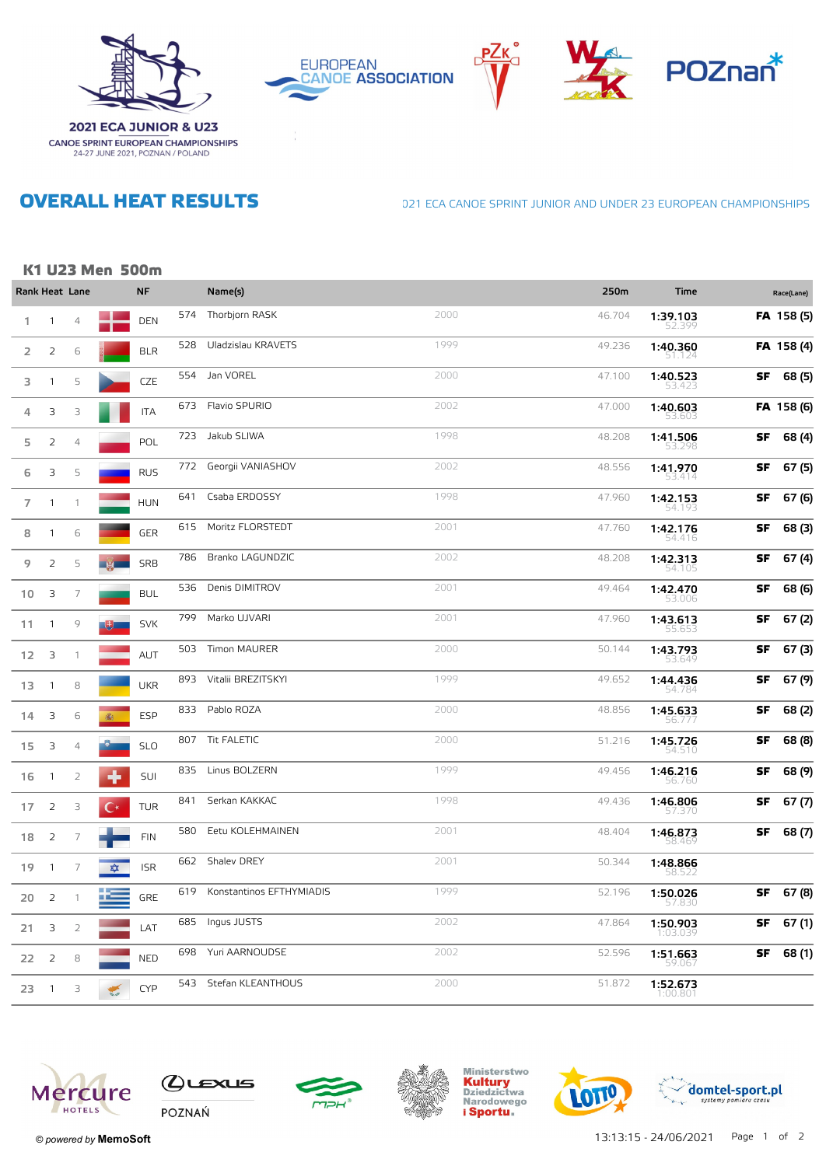

**EUROPEAN CANOE ASSOCIATION** 







# **OVERALL HEAT RESULTS**

**CANOE SPRINT EUROPEAN CHAMPIONSHIPS**<br>24-27 JUNE 2021, POZNAN / POLAND

#### 021 ECA CANOE SPRINT JUNIOR AND UNDER 23 EUROPEAN CHAMPIONSHIPS

## K1 U23 Men 500m

|                 |                | Rank Heat Lane |                    | <b>NF</b>  |     | Name(s)                  |      | 250m   | Time                 |    | Race(Lane) |
|-----------------|----------------|----------------|--------------------|------------|-----|--------------------------|------|--------|----------------------|----|------------|
| 1.              | $\mathbf{1}$   | $\overline{4}$ |                    | <b>DEN</b> | 574 | Thorbjorn RASK           | 2000 | 46.704 | 1:39.103<br>52.399   |    | FA 158 (5) |
| 2               | 2              | 6              |                    | <b>BLR</b> | 528 | Uladzislau KRAVETS       | 1999 | 49.236 | 1:40.360<br>51.124   |    | FA 158 (4) |
| 3               | $\mathbf{1}$   | 5              |                    | CZE        | 554 | Jan VOREL                | 2000 | 47.100 | 1:40.523<br>53.42    | SF | 68 (5)     |
| 4               | 3              | 3              |                    | <b>ITA</b> | 673 | Flavio SPURIO            | 2002 | 47.000 | 1:40.603<br>53.603   |    | FA 158 (6) |
| 5               | 2              | $\overline{4}$ |                    | POL        | 723 | Jakub SLIWA              | 1998 | 48.208 | 1:41.506<br>53.298   | SF | 68 (4)     |
| 6               | 3              | 5              |                    | <b>RUS</b> | 772 | Georgii VANIASHOV        | 2002 | 48.556 | 1:41.970<br>53.414   | SF | 67(5)      |
| $\overline{7}$  | $\mathbf{1}$   | $\mathbf{1}$   |                    | <b>HUN</b> | 641 | Csaba ERDOSSY            | 1998 | 47.960 | 1:42.153<br>54.193   | SF | 67 (6)     |
| 8               | 1              | 6              |                    | GER        | 615 | Moritz FLORSTEDT         | 2001 | 47.760 | 1:42.176<br>54.416   | SF | 68 (3)     |
| 9               | 2              | 5              |                    | SRB        | 786 | Branko LAGUNDZIC         | 2002 | 48.208 | 1:42.313<br>54.105   | SF | 67 (4)     |
| 10              | 3              | $\overline{7}$ |                    | <b>BUL</b> | 536 | Denis DIMITROV           | 2001 | 49.464 | 1:42.470<br>53.UU6   | SF | 68 (6)     |
| 11              | $\mathbf{1}$   | 9              |                    | <b>SVK</b> | 799 | Marko UJVARI             | 2001 | 47.960 | 1:43.613<br>55.653   | SF | 67(2)      |
| 12 <sup>2</sup> | $\overline{3}$ | $\mathbf{1}$   |                    | AUT        | 503 | Timon MAURER             | 2000 | 50.144 | 1:43.793<br>53.649   | SF | 67(3)      |
| 13              | $\mathbf{1}$   | 8              |                    | <b>UKR</b> | 893 | Vitalii BREZITSKYI       | 1999 | 49.652 | 1:44.436<br>54.784   | SF | 67 (9)     |
| 14              | 3              | 6              | 癫                  | ESP        | 833 | Pablo ROZA               | 2000 | 48.856 | 1:45.633<br>56.777   | SF | 68 (2)     |
| 15              | 3              | 4              |                    | <b>SLO</b> |     | 807 Tit FALETIC          | 2000 | 51.216 | 1:45.726<br>54.510   | SF | 68 (8)     |
| 16              | $\overline{1}$ | 2              |                    | SUI        | 835 | Linus BOLZERN            | 1999 | 49.456 | 1:46.216<br>56.760   | SF | 68 (9)     |
| 17              | $\overline{2}$ | 3              | $\mathsf{C}^\star$ | <b>TUR</b> | 841 | Serkan KAKKAC            | 1998 | 49.436 | 1:46.806<br>57.37    | SF | 67(7)      |
| 18              | 2              | $\overline{7}$ |                    | <b>FIN</b> | 580 | Eetu KOLEHMAINEN         | 2001 | 48.404 | 1:46.873<br>58.469   | SF | 68 (7)     |
| 19              | $\mathbf{1}$   | $\overline{7}$ | 本                  | <b>ISR</b> | 662 | Shalev DREY              | 2001 | 50.344 | 1:48.866<br>58.52.   |    |            |
| 20              | $\overline{2}$ | $\mathbf{1}$   | - 2                | <b>GRE</b> | 619 | Konstantinos EFTHYMIADIS | 1999 | 52.196 | 1:50.026<br>57.830   | SF | 67 (8)     |
| 21              | 3              | $\overline{2}$ |                    | LAT        | 685 | Ingus JUSTS              | 2002 | 47.864 | 1:50.903<br>1:03.039 | SF | 67(1)      |
| 22              | 2              | 8              |                    | <b>NED</b> | 698 | Yuri AARNOUDSE           | 2002 | 52.596 | 1:51.663<br>59.067   | SF | 68 (1)     |
| 23              | $\mathbf{1}$   | 3              |                    | <b>CYP</b> | 543 | Stefan KLEANTHOUS        | 2000 | 51.872 | 1:52.673<br>1:00.801 |    |            |